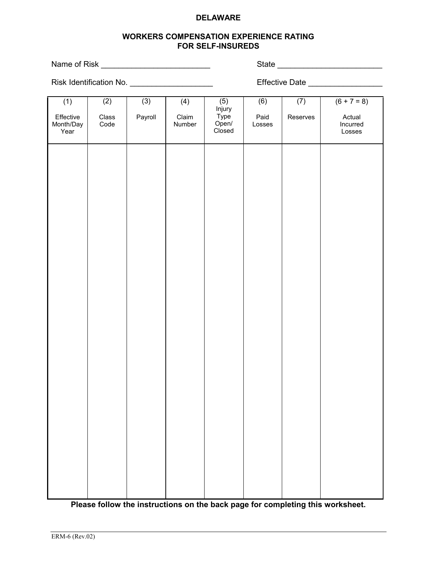## **DELAWARE**

# **WORKERS COMPENSATION EXPERIENCE RATING FOR SELF-INSUREDS**

Name of Risk \_\_\_\_\_\_\_\_\_\_\_\_\_\_\_\_\_\_\_\_\_\_\_\_\_ State \_\_\_\_\_\_\_\_\_\_\_\_\_\_\_\_\_\_\_\_\_\_\_\_

Risk Identification No. \_\_\_\_\_\_\_\_\_\_\_\_\_\_\_\_\_\_\_ Effective Date \_\_\_\_\_\_\_\_\_\_\_\_\_\_\_\_\_

| (2)                 | (3)     | (4)             | (6)                                      | (7)      | $(6 + 7 = 8)$                |
|---------------------|---------|-----------------|------------------------------------------|----------|------------------------------|
| $\rm Class$<br>Code | Payroll | Claim<br>Number | Paid<br>Losses                           | Reserves | Actual<br>Incurred<br>Losses |
|                     |         |                 |                                          |          |                              |
|                     |         |                 |                                          |          |                              |
|                     |         |                 |                                          |          |                              |
|                     |         |                 |                                          |          |                              |
|                     |         |                 |                                          |          |                              |
|                     |         |                 |                                          |          |                              |
|                     |         |                 |                                          |          |                              |
|                     |         |                 |                                          |          |                              |
|                     |         |                 |                                          |          |                              |
|                     |         |                 |                                          |          |                              |
|                     |         |                 |                                          |          |                              |
|                     |         |                 |                                          |          |                              |
|                     |         |                 |                                          |          |                              |
|                     |         |                 |                                          |          |                              |
|                     |         |                 |                                          |          |                              |
|                     |         |                 | (5)<br>Injury<br>Type<br>Open/<br>Closed |          |                              |

**Please follow the instructions on the back page for completing this worksheet.**